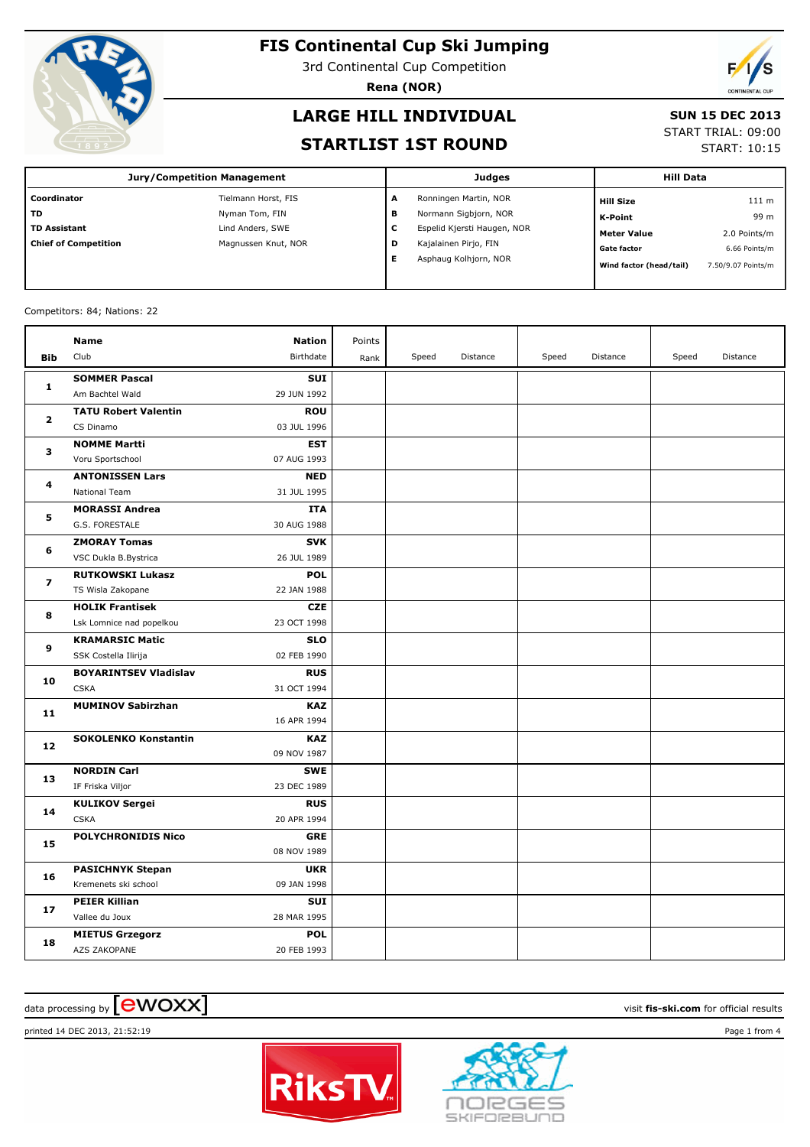

3rd Continental Cup Competition

**Rena (NOR)**

# **LARGE HILL INDIVIDUAL**

### **SUN 15 DEC 2013**

### **STARTLIST 1ST ROUND**

START TRIAL: 09:00

START: 10:15

| <b>Jury/Competition Management</b> |                     |   | <b>Judges</b>               | <b>Hill Data</b>        |                    |  |
|------------------------------------|---------------------|---|-----------------------------|-------------------------|--------------------|--|
| Coordinator                        | Tielmann Horst, FIS | A | Ronningen Martin, NOR       | <b>Hill Size</b>        | 111 m              |  |
| <b>TD</b>                          | Nyman Tom, FIN      | в | Normann Sigbjorn, NOR       | K-Point                 | 99 m               |  |
| <b>TD Assistant</b>                | Lind Anders, SWE    | с | Espelid Kjersti Haugen, NOR | <b>Meter Value</b>      | 2.0 Points/m       |  |
| <b>Chief of Competition</b>        | Magnussen Knut, NOR | D | Kajalainen Pirjo, FIN       | <b>Gate factor</b>      | 6.66 Points/m      |  |
|                                    |                     | Е | Asphaug Kolhjorn, NOR       | Wind factor (head/tail) | 7.50/9.07 Points/m |  |

### Competitors: 84; Nations: 22

|                         | <b>Name</b>                  | <b>Nation</b> | Points |       |          |       |          |       |          |
|-------------------------|------------------------------|---------------|--------|-------|----------|-------|----------|-------|----------|
| <b>Bib</b>              | Club                         | Birthdate     | Rank   | Speed | Distance | Speed | Distance | Speed | Distance |
| $\mathbf{1}$            | <b>SOMMER Pascal</b>         | <b>SUI</b>    |        |       |          |       |          |       |          |
|                         | Am Bachtel Wald              | 29 JUN 1992   |        |       |          |       |          |       |          |
| 2                       | <b>TATU Robert Valentin</b>  | <b>ROU</b>    |        |       |          |       |          |       |          |
|                         | CS Dinamo                    | 03 JUL 1996   |        |       |          |       |          |       |          |
| з                       | <b>NOMME Martti</b>          | <b>EST</b>    |        |       |          |       |          |       |          |
|                         | Voru Sportschool             | 07 AUG 1993   |        |       |          |       |          |       |          |
| 4                       | <b>ANTONISSEN Lars</b>       | <b>NED</b>    |        |       |          |       |          |       |          |
|                         | National Team                | 31 JUL 1995   |        |       |          |       |          |       |          |
| 5                       | <b>MORASSI Andrea</b>        | <b>ITA</b>    |        |       |          |       |          |       |          |
|                         | G.S. FORESTALE               | 30 AUG 1988   |        |       |          |       |          |       |          |
| 6                       | <b>ZMORAY Tomas</b>          | <b>SVK</b>    |        |       |          |       |          |       |          |
|                         | VSC Dukla B.Bystrica         | 26 JUL 1989   |        |       |          |       |          |       |          |
| $\overline{\mathbf{z}}$ | <b>RUTKOWSKI Lukasz</b>      | <b>POL</b>    |        |       |          |       |          |       |          |
|                         | TS Wisla Zakopane            | 22 JAN 1988   |        |       |          |       |          |       |          |
| 8                       | <b>HOLIK Frantisek</b>       | <b>CZE</b>    |        |       |          |       |          |       |          |
|                         | Lsk Lomnice nad popelkou     | 23 OCT 1998   |        |       |          |       |          |       |          |
| 9                       | <b>KRAMARSIC Matic</b>       | <b>SLO</b>    |        |       |          |       |          |       |          |
|                         | SSK Costella Ilirija         | 02 FEB 1990   |        |       |          |       |          |       |          |
| 10                      | <b>BOYARINTSEV Vladislav</b> | <b>RUS</b>    |        |       |          |       |          |       |          |
|                         | <b>CSKA</b>                  | 31 OCT 1994   |        |       |          |       |          |       |          |
| 11                      | <b>MUMINOV Sabirzhan</b>     | <b>KAZ</b>    |        |       |          |       |          |       |          |
|                         |                              | 16 APR 1994   |        |       |          |       |          |       |          |
| 12                      | <b>SOKOLENKO Konstantin</b>  | <b>KAZ</b>    |        |       |          |       |          |       |          |
|                         |                              | 09 NOV 1987   |        |       |          |       |          |       |          |
| 13                      | <b>NORDIN Carl</b>           | <b>SWE</b>    |        |       |          |       |          |       |          |
|                         | IF Friska Viljor             | 23 DEC 1989   |        |       |          |       |          |       |          |
| 14                      | <b>KULIKOV Sergei</b>        | <b>RUS</b>    |        |       |          |       |          |       |          |
|                         | <b>CSKA</b>                  | 20 APR 1994   |        |       |          |       |          |       |          |
| 15                      | <b>POLYCHRONIDIS Nico</b>    | <b>GRE</b>    |        |       |          |       |          |       |          |
|                         |                              | 08 NOV 1989   |        |       |          |       |          |       |          |
| 16                      | <b>PASICHNYK Stepan</b>      | <b>UKR</b>    |        |       |          |       |          |       |          |
|                         | Kremenets ski school         | 09 JAN 1998   |        |       |          |       |          |       |          |
| 17                      | <b>PEIER Killian</b>         | SUI           |        |       |          |       |          |       |          |
|                         | Vallee du Joux               | 28 MAR 1995   |        |       |          |       |          |       |          |
| 18                      | <b>MIETUS Grzegorz</b>       | <b>POL</b>    |        |       |          |       |          |       |          |
|                         | AZS ZAKOPANE                 | 20 FEB 1993   |        |       |          |       |          |       |          |

# $\alpha$  data processing by  $\boxed{\text{ewOX}}$

printed 14 DEC 2013, 21:52:19 Page 1 from 4



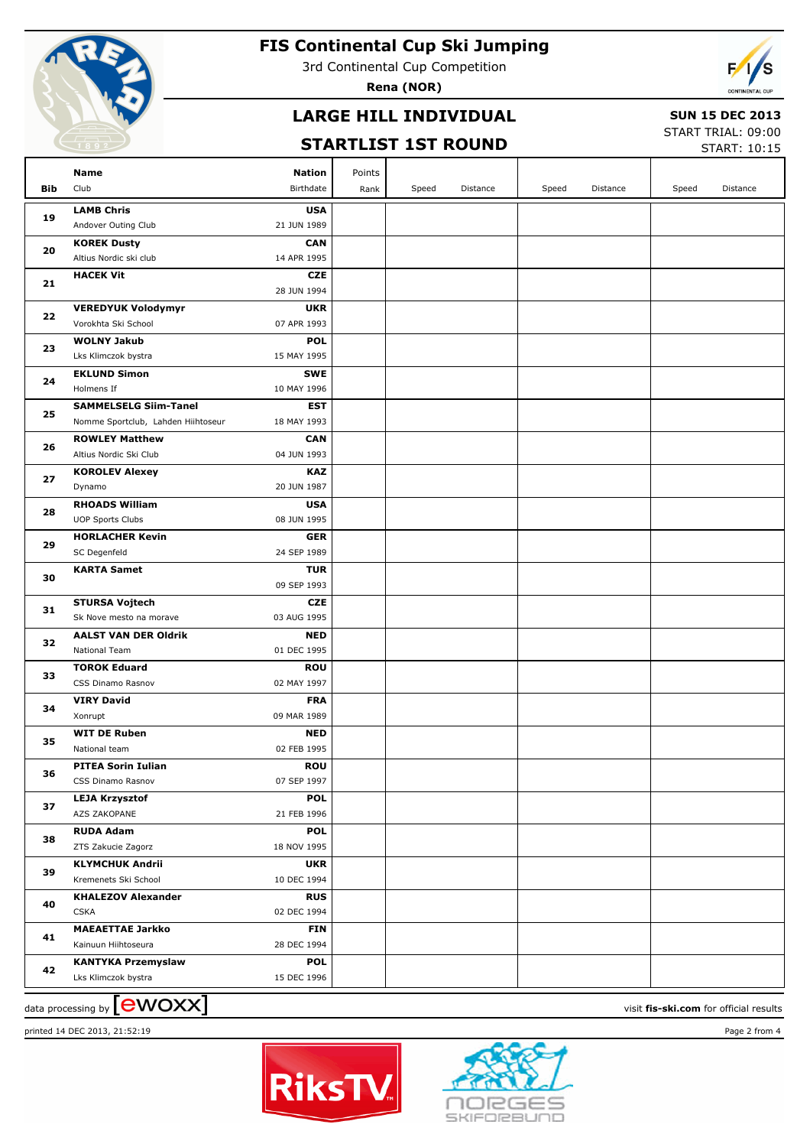

3rd Continental Cup Competition

**Rena (NOR)**



### **LARGE HILL INDIVIDUAL**

### **SUN 15 DEC 2013**

### **STARTLIST 1ST ROUND**

START TRIAL: 09:00 START: 10:15

| Bib | Name<br>Club                                   | Nation<br>Birthdate       | Points | Speed | Distance | Speed | Distance | Speed | Distance |
|-----|------------------------------------------------|---------------------------|--------|-------|----------|-------|----------|-------|----------|
|     |                                                |                           | Rank   |       |          |       |          |       |          |
| 19  | <b>LAMB Chris</b>                              | <b>USA</b>                |        |       |          |       |          |       |          |
|     | Andover Outing Club                            | 21 JUN 1989               |        |       |          |       |          |       |          |
| 20  | <b>KOREK Dusty</b>                             | <b>CAN</b>                |        |       |          |       |          |       |          |
|     | Altius Nordic ski club                         | 14 APR 1995               |        |       |          |       |          |       |          |
| 21  | <b>HACEK Vit</b>                               | <b>CZE</b>                |        |       |          |       |          |       |          |
|     |                                                | 28 JUN 1994               |        |       |          |       |          |       |          |
| 22  | <b>VEREDYUK Volodymyr</b>                      | <b>UKR</b>                |        |       |          |       |          |       |          |
|     | Vorokhta Ski School                            | 07 APR 1993               |        |       |          |       |          |       |          |
| 23  | <b>WOLNY Jakub</b>                             | <b>POL</b>                |        |       |          |       |          |       |          |
|     | Lks Klimczok bystra                            | 15 MAY 1995               |        |       |          |       |          |       |          |
| 24  | <b>EKLUND Simon</b>                            | <b>SWE</b>                |        |       |          |       |          |       |          |
|     | Holmens If                                     | 10 MAY 1996               |        |       |          |       |          |       |          |
| 25  | <b>SAMMELSELG Siim-Tanel</b>                   | <b>EST</b>                |        |       |          |       |          |       |          |
|     | Nomme Sportclub, Lahden Hiihtoseur             | 18 MAY 1993               |        |       |          |       |          |       |          |
| 26  | <b>ROWLEY Matthew</b>                          | <b>CAN</b>                |        |       |          |       |          |       |          |
|     | Altius Nordic Ski Club                         | 04 JUN 1993               |        |       |          |       |          |       |          |
| 27  | <b>KOROLEV Alexey</b>                          | <b>KAZ</b>                |        |       |          |       |          |       |          |
|     | Dynamo                                         | 20 JUN 1987               |        |       |          |       |          |       |          |
| 28  | <b>RHOADS William</b>                          | <b>USA</b>                |        |       |          |       |          |       |          |
|     | <b>UOP Sports Clubs</b>                        | 08 JUN 1995               |        |       |          |       |          |       |          |
| 29  | <b>HORLACHER Kevin</b>                         | <b>GER</b>                |        |       |          |       |          |       |          |
|     | SC Degenfeld                                   | 24 SEP 1989               |        |       |          |       |          |       |          |
| 30  | <b>KARTA Samet</b>                             | <b>TUR</b>                |        |       |          |       |          |       |          |
|     |                                                | 09 SEP 1993               |        |       |          |       |          |       |          |
| 31  | <b>STURSA Vojtech</b>                          | <b>CZE</b>                |        |       |          |       |          |       |          |
|     | Sk Nove mesto na morave                        | 03 AUG 1995               |        |       |          |       |          |       |          |
| 32  | <b>AALST VAN DER Oldrik</b>                    | <b>NED</b>                |        |       |          |       |          |       |          |
|     | <b>National Team</b>                           | 01 DEC 1995               |        |       |          |       |          |       |          |
| 33  | <b>TOROK Eduard</b>                            | <b>ROU</b>                |        |       |          |       |          |       |          |
|     | CSS Dinamo Rasnov                              | 02 MAY 1997               |        |       |          |       |          |       |          |
| 34  | <b>VIRY David</b>                              | <b>FRA</b>                |        |       |          |       |          |       |          |
|     | Xonrupt                                        | 09 MAR 1989               |        |       |          |       |          |       |          |
| 35  | <b>WIT DE Ruben</b><br>National team           | <b>NED</b><br>02 FEB 1995 |        |       |          |       |          |       |          |
|     |                                                |                           |        |       |          |       |          |       |          |
| 36  | <b>PITEA Sorin Iulian</b><br>CSS Dinamo Rasnov | <b>ROU</b><br>07 SEP 1997 |        |       |          |       |          |       |          |
|     | <b>LEJA Krzysztof</b>                          | <b>POL</b>                |        |       |          |       |          |       |          |
| 37  | AZS ZAKOPANE                                   | 21 FEB 1996               |        |       |          |       |          |       |          |
|     | <b>RUDA Adam</b>                               | <b>POL</b>                |        |       |          |       |          |       |          |
| 38  | ZTS Zakucie Zagorz                             | 18 NOV 1995               |        |       |          |       |          |       |          |
|     | <b>KLYMCHUK Andrii</b>                         | <b>UKR</b>                |        |       |          |       |          |       |          |
| 39  | Kremenets Ski School                           | 10 DEC 1994               |        |       |          |       |          |       |          |
|     | <b>KHALEZOV Alexander</b>                      | <b>RUS</b>                |        |       |          |       |          |       |          |
| 40  | <b>CSKA</b>                                    | 02 DEC 1994               |        |       |          |       |          |       |          |
|     | <b>MAEAETTAE Jarkko</b>                        | <b>FIN</b>                |        |       |          |       |          |       |          |
| 41  | Kainuun Hiihtoseura                            | 28 DEC 1994               |        |       |          |       |          |       |          |
|     | <b>KANTYKA Przemyslaw</b>                      | <b>POL</b>                |        |       |          |       |          |       |          |
| 42  | Lks Klimczok bystra                            | 15 DEC 1996               |        |       |          |       |          |       |          |
|     |                                                |                           |        |       |          |       |          |       |          |

data processing by **CWOXX** and  $\overline{C}$  and  $\overline{C}$  and  $\overline{C}$  and  $\overline{C}$  and  $\overline{C}$  and  $\overline{C}$  and  $\overline{C}$  and  $\overline{C}$  and  $\overline{C}$  and  $\overline{C}$  and  $\overline{C}$  and  $\overline{C}$  and  $\overline{C}$  and  $\overline{C}$  and  $\overline{C}$  printed 14 DEC 2013, 21:52:19 Page 2 from 4



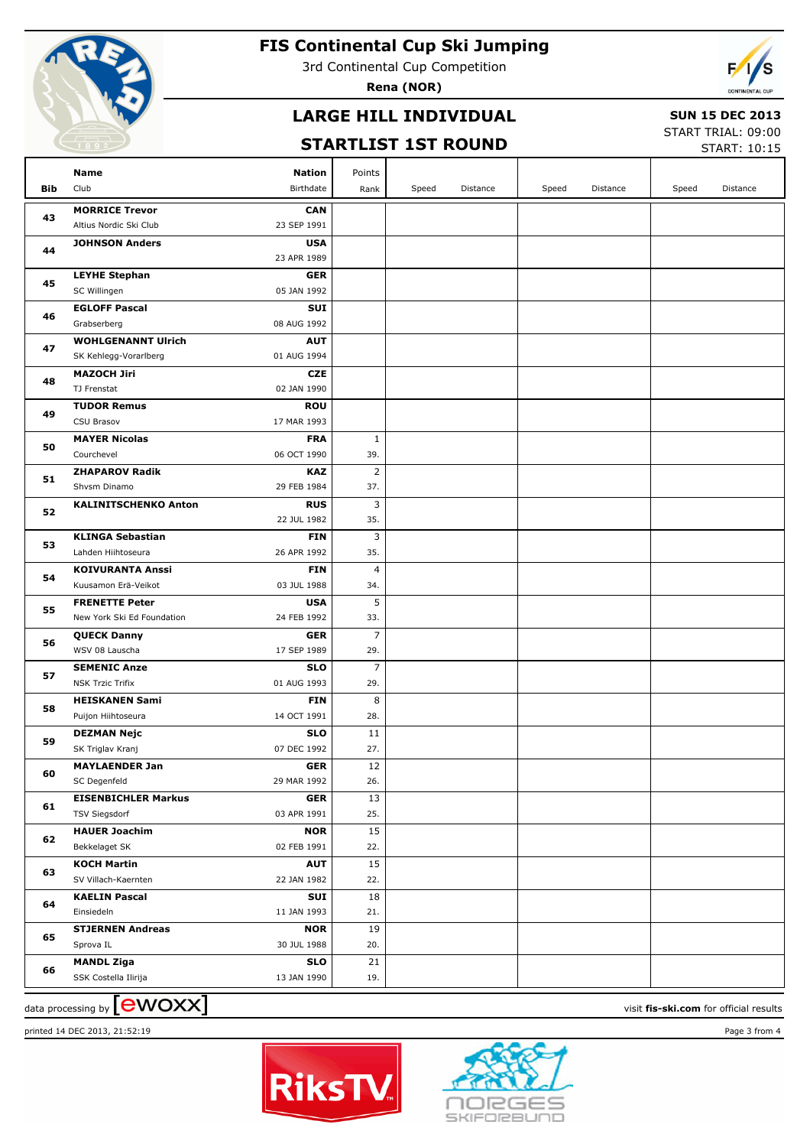

3rd Continental Cup Competition

**Rena (NOR)**

# **LARGE HILL INDIVIDUAL**

# **SUN 15 DEC 2013**

### **STARTLIST 1ST ROUND**

START TRIAL: 09:00  $STAPT: 10:15$ 

|          |                                                                            |                |       |          |       |          |       | JIANI, 10.1J |
|----------|----------------------------------------------------------------------------|----------------|-------|----------|-------|----------|-------|--------------|
|          | Name<br><b>Nation</b>                                                      | Points         |       |          |       |          |       |              |
| Bib      | Club<br>Birthdate                                                          | Rank           | Speed | Distance | Speed | Distance | Speed | Distance     |
|          | <b>MORRICE Trevor</b><br><b>CAN</b>                                        |                |       |          |       |          |       |              |
| 43       | 23 SEP 1991<br>Altius Nordic Ski Club                                      |                |       |          |       |          |       |              |
| 44       | <b>JOHNSON Anders</b><br><b>USA</b>                                        |                |       |          |       |          |       |              |
|          | 23 APR 1989                                                                |                |       |          |       |          |       |              |
|          | <b>LEYHE Stephan</b><br><b>GER</b>                                         |                |       |          |       |          |       |              |
| 45       | 05 JAN 1992<br>SC Willingen                                                |                |       |          |       |          |       |              |
| 46       | <b>EGLOFF Pascal</b><br>SUI                                                |                |       |          |       |          |       |              |
|          | 08 AUG 1992<br>Grabserberg                                                 |                |       |          |       |          |       |              |
| 47       | <b>WOHLGENANNT Ulrich</b><br><b>AUT</b>                                    |                |       |          |       |          |       |              |
|          | SK Kehlegg-Vorarlberg<br>01 AUG 1994                                       |                |       |          |       |          |       |              |
| 48       | <b>MAZOCH Jiri</b><br><b>CZE</b>                                           |                |       |          |       |          |       |              |
|          | TJ Frenstat<br>02 JAN 1990                                                 |                |       |          |       |          |       |              |
| 49       | <b>TUDOR Remus</b><br><b>ROU</b>                                           |                |       |          |       |          |       |              |
|          | CSU Brasov<br>17 MAR 1993                                                  |                |       |          |       |          |       |              |
| 50       | <b>MAYER Nicolas</b><br><b>FRA</b>                                         | $\mathbf{1}$   |       |          |       |          |       |              |
|          | Courchevel<br>06 OCT 1990                                                  | 39.            |       |          |       |          |       |              |
| 51       | <b>ZHAPAROV Radik</b><br><b>KAZ</b>                                        | $\overline{2}$ |       |          |       |          |       |              |
|          | Shvsm Dinamo<br>29 FEB 1984                                                | 37.            |       |          |       |          |       |              |
| 52       | <b>KALINITSCHENKO Anton</b><br><b>RUS</b>                                  | 3              |       |          |       |          |       |              |
| 53<br>54 | 22 JUL 1982                                                                | 35.            |       |          |       |          |       |              |
|          | <b>KLINGA Sebastian</b><br><b>FIN</b><br>Lahden Hiihtoseura<br>26 APR 1992 | 3<br>35.       |       |          |       |          |       |              |
|          | <b>KOIVURANTA Anssi</b><br><b>FIN</b>                                      | 4              |       |          |       |          |       |              |
|          | Kuusamon Erä-Veikot<br>03 JUL 1988                                         | 34.            |       |          |       |          |       |              |
|          | <b>FRENETTE Peter</b><br><b>USA</b>                                        | 5              |       |          |       |          |       |              |
| 55       | New York Ski Ed Foundation<br>24 FEB 1992                                  | 33.            |       |          |       |          |       |              |
|          | <b>GER</b><br><b>QUECK Danny</b>                                           | $\overline{7}$ |       |          |       |          |       |              |
| 56       | WSV 08 Lauscha<br>17 SEP 1989                                              | 29.            |       |          |       |          |       |              |
|          | <b>SEMENIC Anze</b><br><b>SLO</b>                                          | 7              |       |          |       |          |       |              |
| 57       | <b>NSK Trzic Trifix</b><br>01 AUG 1993                                     | 29.            |       |          |       |          |       |              |
|          | <b>FIN</b><br><b>HEISKANEN Sami</b>                                        | 8              |       |          |       |          |       |              |
| 58       | Puijon Hiihtoseura<br>14 OCT 1991                                          | 28.            |       |          |       |          |       |              |
| 59       | <b>SLO</b><br><b>DEZMAN Nejc</b>                                           | 11             |       |          |       |          |       |              |
|          | SK Triglav Kranj<br>07 DEC 1992                                            | 27.            |       |          |       |          |       |              |
| 60       | <b>MAYLAENDER Jan</b><br><b>GER</b>                                        | 12             |       |          |       |          |       |              |
|          | SC Degenfeld<br>29 MAR 1992                                                | 26.            |       |          |       |          |       |              |
| 61       | <b>EISENBICHLER Markus</b><br><b>GER</b>                                   | 13             |       |          |       |          |       |              |
|          | <b>TSV Siegsdorf</b><br>03 APR 1991                                        | 25.            |       |          |       |          |       |              |
| 62       | <b>HAUER Joachim</b><br><b>NOR</b>                                         | 15             |       |          |       |          |       |              |
|          | Bekkelaget SK<br>02 FEB 1991                                               | 22.            |       |          |       |          |       |              |
| 63       | <b>KOCH Martin</b><br><b>AUT</b>                                           | 15             |       |          |       |          |       |              |
|          | SV Villach-Kaernten<br>22 JAN 1982                                         | 22.            |       |          |       |          |       |              |
| 64       | <b>KAELIN Pascal</b><br>SUI<br>Einsiedeln<br>11 JAN 1993                   | 18<br>21.      |       |          |       |          |       |              |
|          | <b>STJERNEN Andreas</b><br><b>NOR</b>                                      | 19             |       |          |       |          |       |              |
| 65       | 30 JUL 1988<br>Sprova IL                                                   | 20.            |       |          |       |          |       |              |
|          | <b>MANDL Ziga</b><br><b>SLO</b>                                            | 21             |       |          |       |          |       |              |
| 66       | SSK Costella Ilirija<br>13 JAN 1990                                        | 19.            |       |          |       |          |       |              |
|          |                                                                            |                |       |          |       |          |       |              |

# $\alpha$  data processing by  $\boxed{\text{ewOX}}$

printed 14 DEC 2013, 21:52:19 Page 3 from 4